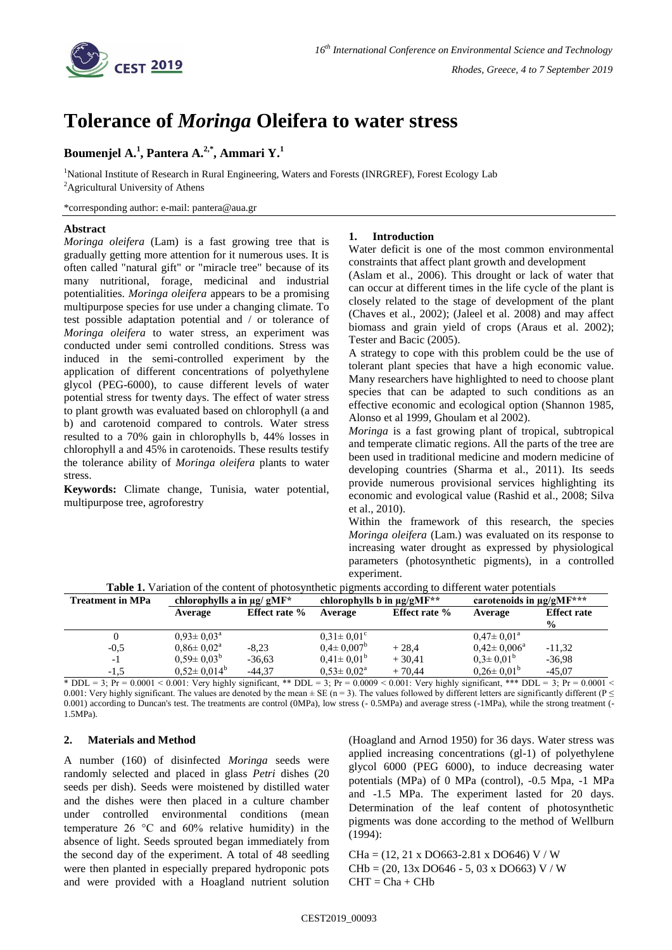

# **Tolerance of** *Moringa* **Oleifera to water stress**

## **Boumenjel A. 1 , Pantera A. 2,\* , Ammari Y. 1**

<sup>1</sup>National Institute of Research in Rural Engineering, Waters and Forests (INRGREF), Forest Ecology Lab <sup>2</sup>Agricultural University of Athens

\*corresponding author: e-mail: pantera@aua.gr

#### **Abstract**

*Moringa oleifera* (Lam) is a fast growing tree that is gradually getting more attention for it numerous uses. It is often called "natural gift" or "miracle tree" because of its many nutritional, forage, medicinal and industrial potentialities. *Moringa oleifera* appears to be a promising multipurpose species for use under a changing climate. To test possible adaptation potential and / or tolerance of *Moringa oleifera* to water stress, an experiment was conducted under semi controlled conditions. Stress was induced in the semi-controlled experiment by the application of different concentrations of polyethylene glycol (PEG-6000), to cause different levels of water potential stress for twenty days. The effect of water stress to plant growth was evaluated based on chlorophyll (a and b) and carotenoid compared to controls. Water stress resulted to a 70% gain in chlorophylls b, 44% losses in chlorophyll a and 45% in carotenoids. These results testify the tolerance ability of *Moringa oleifera* plants to water stress.

**Keywords:** Climate change, Tunisia, water potential, multipurpose tree, agroforestry

#### **1. Introduction**

Water deficit is one of the most common environmental constraints that affect plant growth and development

(Aslam et al., 2006). This drought or lack of water that can occur at different times in the life cycle of the plant is closely related to the stage of development of the plant (Chaves et al., 2002); (Jaleel et al. 2008) and may affect biomass and grain yield of crops (Araus et al. 2002); Tester and Bacic (2005).

A strategy to cope with this problem could be the use of tolerant plant species that have a high economic value. Many researchers have highlighted to need to choose plant species that can be adapted to such conditions as an effective economic and ecological option (Shannon 1985, Alonso et al 1999, Ghoulam et al 2002).

*Moringa* is a fast growing plant of tropical, subtropical and temperate climatic regions. All the parts of the tree are been used in traditional medicine and modern medicine of developing countries (Sharma et al., 2011). Its seeds provide numerous provisional services highlighting its economic and evological value (Rashid et al., 2008; Silva et al., 2010).

Within the framework of this research, the species *Moringa oleifera* (Lam.) was evaluated on its response to increasing water drought as expressed by physiological parameters (photosynthetic pigments), in a controlled experiment.

|  | <b>Table 1.</b> Variation of the content of photosynthetic pigments according to different water potentials |  |  |
|--|-------------------------------------------------------------------------------------------------------------|--|--|
|--|-------------------------------------------------------------------------------------------------------------|--|--|

| <b>Treatment in MPa</b> | chlorophylls a in $\mu$ g/gMF* |                      | chlorophylls b in $\mu$ g/gMF** |                      | carotenoids in $\mu$ g/gMF*** |                    |
|-------------------------|--------------------------------|----------------------|---------------------------------|----------------------|-------------------------------|--------------------|
|                         | Average                        | <b>Effect rate %</b> | Average                         | <b>Effect rate %</b> | Average                       | <b>Effect rate</b> |
| 0                       | $0.93 \pm 0.03^{\text{a}}$     |                      | $0.31 \pm 0.01$ <sup>c</sup>    |                      | $0.47 \pm 0.01^{\text{a}}$    | $\frac{0}{0}$      |
| $-0.5$                  | $0.86 \pm 0.02^{\rm a}$        | $-8.23$              | $0.4 \pm 0.007^{\rm b}$         | $+28.4$              | $0.42 \pm 0.006^{\circ}$      | $-11,32$           |
| $-1$                    | $0.59 \pm 0.03^{\rm b}$        | $-36.63$             | $0.41 \pm 0.01^b$               | $+30.41$             | $0.3 \pm 0.01^{\circ}$        | $-36,98$           |
| $-1,5$                  | $0,52 \pm 0,014^{\circ}$       | $-44.37$             | $0.53 \pm 0.02^{\text{a}}$      | $+70.44$             | $0.26 \pm 0.01^{\circ}$       | $-45.07$           |

 $*$  DDL = 3; Pr = 0.0001 < 0.001: Very highly significant,  $**$  DDL = 3; Pr = 0.0009 < 0.001: Very highly significant,  $***$  DDL = 3; Pr = 0.0001 < 0.001: Very highly significant. The values are denoted by the mean  $\pm$  SE (n = 3). The values followed by different letters are significantly different (P  $\leq$ 0.001) according to Duncan's test. The treatments are control (0MPa), low stress (- 0.5MPa) and average stress (-1MPa), while the strong treatment (- 1.5MPa).

### **2. Materials and Method**

A number (160) of disinfected *Moringa* seeds were randomly selected and placed in glass *Petri* dishes (20 seeds per dish). Seeds were moistened by distilled water and the dishes were then placed in a culture chamber under controlled environmental conditions (mean temperature 26 °C and 60% relative humidity) in the absence of light. Seeds sprouted began immediately from the second day of the experiment. A total of 48 seedling were then planted in especially prepared hydroponic pots and were provided with a Hoagland nutrient solution

(Hoagland and Arnod 1950) for 36 days. Water stress was applied increasing concentrations (gl-1) of polyethylene glycol 6000 (PEG 6000), to induce decreasing water potentials (MPa) of 0 MPa (control), -0.5 Mpa, -1 MPa and -1.5 MPa. The experiment lasted for 20 days. Determination of the leaf content of photosynthetic pigments was done according to the method of Wellburn (1994):

CHa = (12, 21 x DO663-2.81 x DO646) V / W  $CHb = (20, 13x DO646 - 5, 03x DO663) V / W$  $CHT = Cha + CHb$